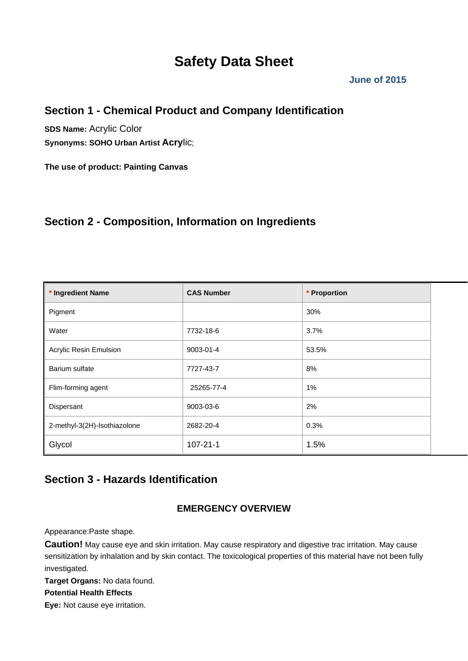# **Safety Data Sheet**

### **June of 2015**

## **Section 1 - Chemical Product and Company Identification**

**SDS Name:** Acrylic Color **Synonyms: SOHO Urban Artist Acry**lic;

**The use of product: Painting Canvas**

## **Section 2 - Composition, Information on Ingredients**

| * Ingredient Name            | <b>CAS Number</b> | * Proportion |
|------------------------------|-------------------|--------------|
| Pigment                      |                   | 30%          |
| Water                        | 7732-18-6         | 3.7%         |
| Acrylic Resin Emulsion       | 9003-01-4         | 53.5%        |
| Barium sulfate               | 7727-43-7         | 8%           |
| Flim-forming agent           | 25265-77-4        | 1%           |
| Dispersant                   | 9003-03-6         | 2%           |
| 2-methyl-3(2H)-Isothiazolone | 2682-20-4         | 0.3%         |
| Glycol                       | $107 - 21 - 1$    | 1.5%         |

## **Section 3 - Hazards Identification**

### **EMERGENCY OVERVIEW**

Appearance:Paste shape.

**Caution!** May cause eye and skin irritation. May cause respiratory and digestive trac irritation. May cause sensitization by inhalation and by skin contact. The toxicological properties of this material have not been fully investigated.

**Target Organs:** No data found.

### **Potential Health Effects**

**Eye:** Not cause eye irritation.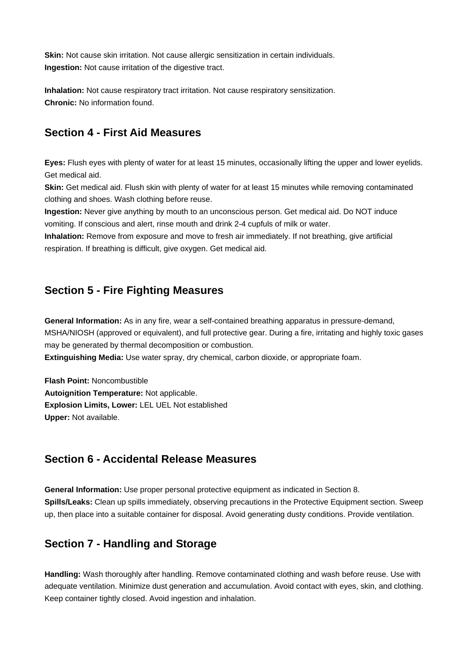**Skin:** Not cause skin irritation. Not cause allergic sensitization in certain individuals. **Ingestion:** Not cause irritation of the digestive tract.

**Inhalation:** Not cause respiratory tract irritation. Not cause respiratory sensitization. **Chronic:** No information found.

## **Section 4 - First Aid Measures**

**Eyes:** Flush eyes with plenty of water for at least 15 minutes, occasionally lifting the upper and lower eyelids. Get medical aid.

**Skin:** Get medical aid. Flush skin with plenty of water for at least 15 minutes while removing contaminated clothing and shoes. Wash clothing before reuse.

**Ingestion:** Never give anything by mouth to an unconscious person. Get medical aid. Do NOT induce vomiting. If conscious and alert, rinse mouth and drink 2-4 cupfuls of milk or water.

**Inhalation:** Remove from exposure and move to fresh air immediately. If not breathing, give artificial respiration. If breathing is difficult, give oxygen. Get medical aid.

## **Section 5 - Fire Fighting Measures**

**General Information:** As in any fire, wear a self-contained breathing apparatus in pressure-demand, MSHA/NIOSH (approved or equivalent), and full protective gear. During a fire, irritating and highly toxic gases may be generated by thermal decomposition or combustion.

**Extinguishing Media:** Use water spray, dry chemical, carbon dioxide, or appropriate foam.

**Flash Point:** Noncombustible **Autoignition Temperature:** Not applicable. **Explosion Limits, Lower:** LEL UEL Not established **Upper:** Not available.

### **Section 6 - Accidental Release Measures**

**General Information:** Use proper personal protective equipment as indicated in Section 8. **Spills/Leaks:** Clean up spills immediately, observing precautions in the Protective Equipment section. Sweep up, then place into a suitable container for disposal. Avoid generating dusty conditions. Provide ventilation.

## **Section 7 - Handling and Storage**

**Handling:** Wash thoroughly after handling. Remove contaminated clothing and wash before reuse. Use with adequate ventilation. Minimize dust generation and accumulation. Avoid contact with eyes, skin, and clothing. Keep container tightly closed. Avoid ingestion and inhalation.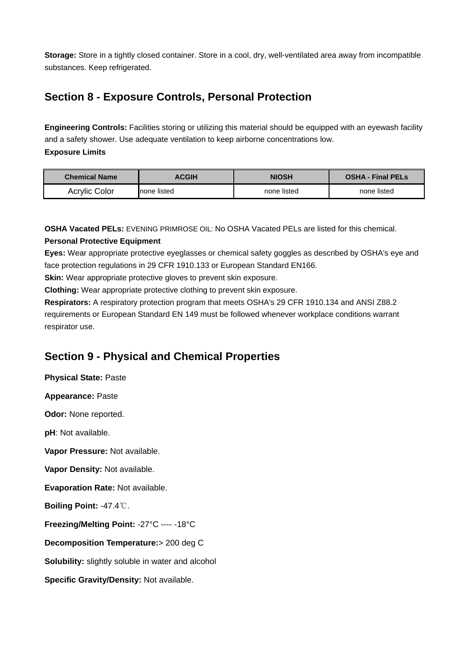**Storage:** Store in a tightly closed container. Store in a cool, dry, well-ventilated area away from incompatible substances. Keep refrigerated.

## **Section 8 - Exposure Controls, Personal Protection**

**Engineering Controls:** Facilities storing or utilizing this material should be equipped with an eyewash facility and a safety shower. Use adequate ventilation to keep airborne concentrations low. **Exposure Limits**

| <b>Chemical Name</b> | <b>ACGIH</b> | <b>NIOSH</b> | <b>OSHA - Final PELS</b> |
|----------------------|--------------|--------------|--------------------------|
| Acrylic Color        | Inone listed | none listed  | none listed              |

**OSHA Vacated PELs:** EVENING PRIMROSE OIL: No OSHA Vacated PELs are listed for this chemical.

### **Personal Protective Equipment**

**Eyes:** Wear appropriate protective eyeglasses or chemical safety goggles as described by OSHA's eye and face protection regulations in 29 CFR 1910.133 or European Standard EN166.

**Skin:** Wear appropriate protective gloves to prevent skin exposure.

**Clothing:** Wear appropriate protective clothing to prevent skin exposure.

**Respirators:** A respiratory protection program that meets OSHA's 29 CFR 1910.134 and ANSI Z88.2 requirements or European Standard EN 149 must be followed whenever workplace conditions warrant respirator use.

## **Section 9 - Physical and Chemical Properties**

**Physical State:** Paste

**Appearance:** Paste

**Odor:** None reported.

**pH**: Not available.

**Vapor Pressure:** Not available.

**Vapor Density:** Not available.

**Evaporation Rate:** Not available.

**Boiling Point:** -47.4℃.

**Freezing/Melting Point:** -27°C ---- -18°C

**Decomposition Temperature:**> 200 deg C

**Solubility:** slightly soluble in water and alcohol

**Specific Gravity/Density:** Not available.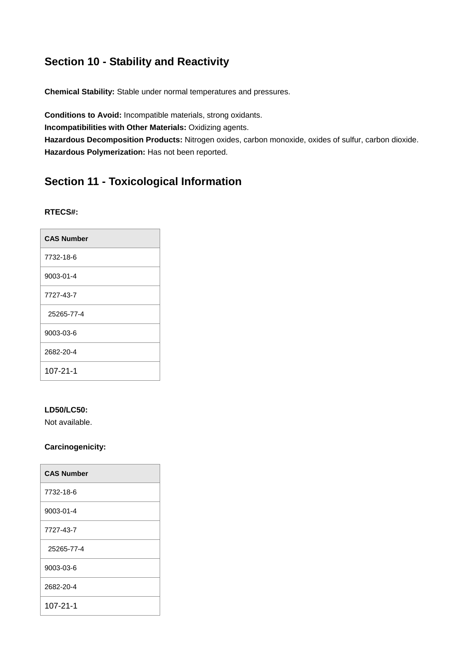## **Section 10 - Stability and Reactivity**

**Chemical Stability:** Stable under normal temperatures and pressures.

**Conditions to Avoid:** Incompatible materials, strong oxidants. **Incompatibilities with Other Materials:** Oxidizing agents. **Hazardous Decomposition Products:** Nitrogen oxides, carbon monoxide, oxides of sulfur, carbon dioxide. **Hazardous Polymerization:** Has not been reported.

## **Section 11 - Toxicological Information**

### **RTECS#:**

| <b>CAS Number</b> |
|-------------------|
| 7732-18-6         |
| 9003-01-4         |
| 7727-43-7         |
| 25265-77-4        |
| 9003-03-6         |
| 2682-20-4         |
| 107-21-1          |

### **LD50/LC50:**

Not available.

### **Carcinogenicity:**

| <b>CAS Number</b> |
|-------------------|
| 7732-18-6         |
| 9003-01-4         |
| 7727-43-7         |
| 25265-77-4        |
| 9003-03-6         |
| 2682-20-4         |
| 107-21-1          |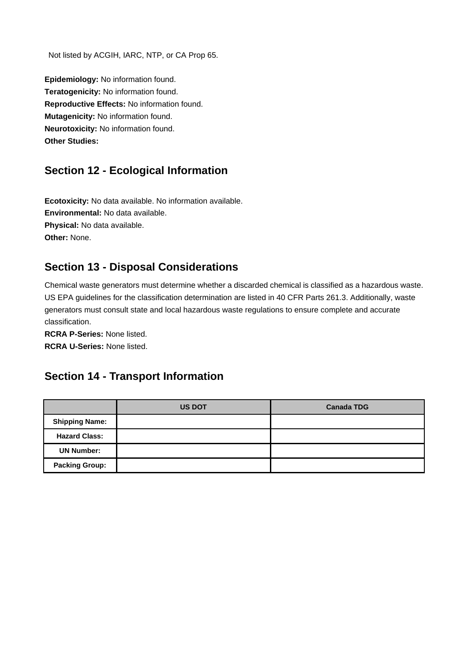Not listed by ACGIH, IARC, NTP, or CA Prop 65.

**Epidemiology:** No information found. **Teratogenicity:** No information found. **Reproductive Effects:** No information found. **Mutagenicity:** No information found. **Neurotoxicity:** No information found. **Other Studies:**

## **Section 12 - Ecological Information**

**Ecotoxicity:** No data available. No information available. **Environmental:** No data available. **Physical:** No data available. **Other:** None.

## **Section 13 - Disposal Considerations**

Chemical waste generators must determine whether a discarded chemical is classified as a hazardous waste. US EPA guidelines for the classification determination are listed in 40 CFR Parts 261.3. Additionally, waste generators must consult state and local hazardous waste regulations to ensure complete and accurate classification.

**RCRA P-Series:** None listed. **RCRA U-Series:** None listed.

## **Section 14 - Transport Information**

|                       | <b>US DOT</b> | <b>Canada TDG</b> |
|-----------------------|---------------|-------------------|
| <b>Shipping Name:</b> |               |                   |
| <b>Hazard Class:</b>  |               |                   |
| <b>UN Number:</b>     |               |                   |
| <b>Packing Group:</b> |               |                   |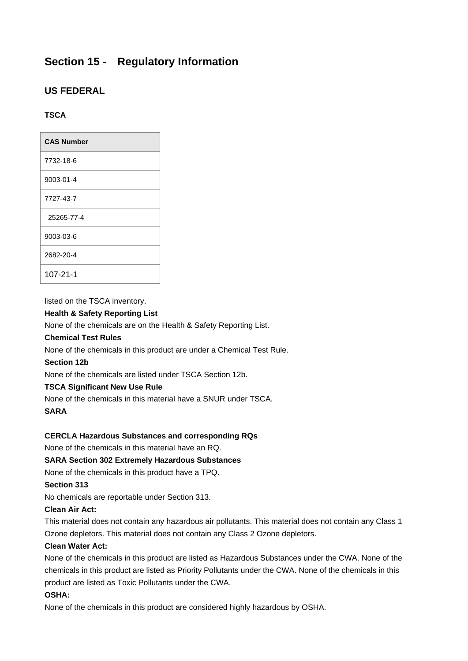## **Section 15 - Regulatory Information**

### **US FEDERAL**

### **TSCA**

| <b>CAS Number</b> |
|-------------------|
| 7732-18-6         |
| 9003-01-4         |
| 7727-43-7         |
| 25265-77-4        |
| 9003-03-6         |
| 2682-20-4         |
| $107 - 21 - 1$    |

listed on the TSCA inventory.

### **Health & Safety Reporting List**

None of the chemicals are on the Health & Safety Reporting List.

### **Chemical Test Rules**

None of the chemicals in this product are under a Chemical Test Rule.

### **Section 12b**

None of the chemicals are listed under TSCA Section 12b.

### **TSCA Significant New Use Rule**

None of the chemicals in this material have a SNUR under TSCA.

### **SARA**

### **CERCLA Hazardous Substances and corresponding RQs**

None of the chemicals in this material have an RQ.

### **SARA Section 302 Extremely Hazardous Substances**

None of the chemicals in this product have a TPQ.

### **Section 313**

No chemicals are reportable under Section 313.

### **Clean Air Act:**

This material does not contain any hazardous air pollutants. This material does not contain any Class 1 Ozone depletors. This material does not contain any Class 2 Ozone depletors.

### **Clean Water Act:**

None of the chemicals in this product are listed as Hazardous Substances under the CWA. None of the chemicals in this product are listed as Priority Pollutants under the CWA. None of the chemicals in this product are listed as Toxic Pollutants under the CWA.

### **OSHA:**

None of the chemicals in this product are considered highly hazardous by OSHA.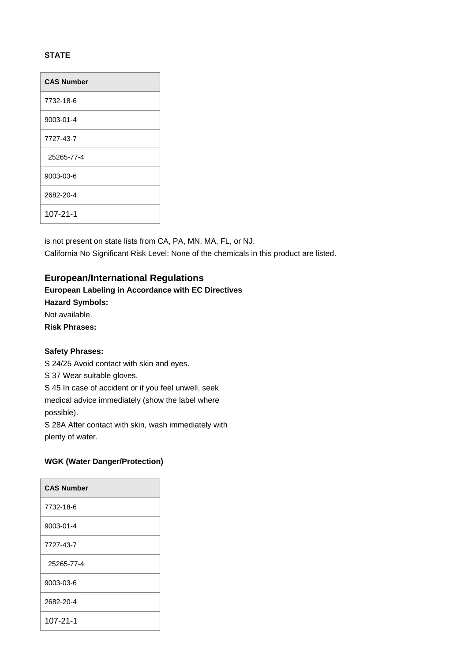### **STATE**

| <b>CAS Number</b> |
|-------------------|
| 7732-18-6         |
| 9003-01-4         |
| 7727-43-7         |
| 25265-77-4        |
| 9003-03-6         |
| 2682-20-4         |
| $107 - 21 - 1$    |

is not present on state lists from CA, PA, MN, MA, FL, or NJ. California No Significant Risk Level: None of the chemicals in this product are listed.

### **European/International Regulations**

### **European Labeling in Accordance with EC Directives**

**Hazard Symbols:**

Not available.

**Risk Phrases:**

### **Safety Phrases:**

S 24/25 Avoid contact with skin and eyes.

S 37 Wear suitable gloves.

S 45 In case of accident or if you feel unwell, seek

medical advice immediately (show the label where possible).

S 28A After contact with skin, wash immediately with plenty of water.

### **WGK (Water Danger/Protection)**

| <b>CAS Number</b> |  |
|-------------------|--|
| 7732-18-6         |  |
| 9003-01-4         |  |
| 7727-43-7         |  |
| 25265-77-4        |  |
| 9003-03-6         |  |
| 2682-20-4         |  |
| 107-21-1          |  |